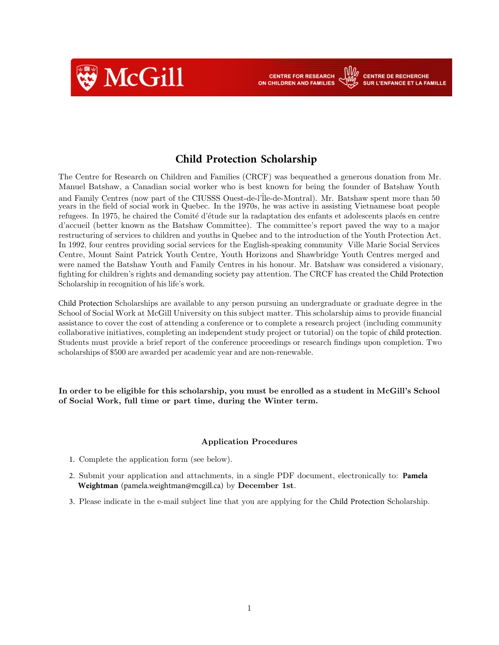

**Child Protection Scholarship**

**CENTRE FOR RESEARCH** 

ON CHILDREN AND FAMILIES

**CENTRE DE RECHERCHE** 

**SUR L'ENFANCE ET LA FAMILLE** 

The Centre for Research on Children and Families (CRCF) was bequeathed a generous donation from Mr. Manuel Batshaw, a Canadian social worker who is best known for being the founder of Batshaw Youth and Family Centres (now part of the CIUSSS Quest-de-l'Île-de-Montral). Mr. Batshaw spent more than 50 years in the field of social work in Quebec. In the 1970s, he was active in assisting Vietnamese boat people refugees. In 1975, he chaired the Comité d'étude sur la radaptation des enfants et adolescents placés en centre d'accueil (better known as the Batshaw Committee). The committee's report paved the way to a major restructuring of services to children and youths in Quebec and to the introduction of the Youth Protection Act. In 1992, four centres providing social services for the English-speaking community Ville Marie Social Services Centre, Mount Saint Patrick Youth Centre, Youth Horizons and Shawbridge Youth Centres merged and were named the Batshaw Youth and Family Centres in his honour. Mr. Batshaw was considered a visionary, fighting for children's rights and demanding society pay attention. The CRCF has created the Child Protection Scholarship in recognition of his life's work.

Child Protection Scholarships are available to any person pursuing an undergraduate or graduate degree in the School of Social Work at McGill University on this subject matter. This scholarship aims to provide financial assistance to cover the cost of attending a conference or to complete a research project (including community collaborative initiatives, completing an independent study project or tutorial) on the topic of child protection. Students must provide a brief report of the conference proceedings or research findings upon completion. Two scholarships of \$500 are awarded per academic year and are non-renewable.

In order to be eligible for this scholarship, you must be enrolled as a student in McGill's School of Social Work, full time or part time, during the Winter term.

#### Application Procedures

- 1. Complete the application form (see below).
- 2. Submit your application and attachments, in a single PDF document, electronically to: **Pamela Weightman** (pamela.weightman@mcgill.ca) by December 1st.
- 3. Please indicate in the e-mail subject line that you are applying for the Child Protection Scholarship.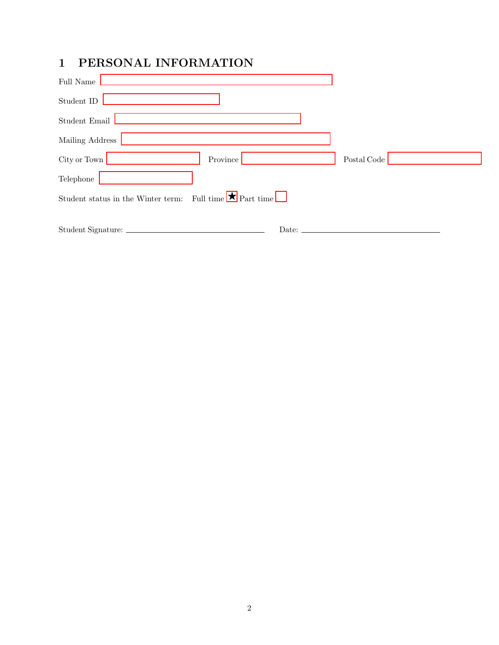## 1 PERSONAL INFORMATION

| Full Name                                                            |             |
|----------------------------------------------------------------------|-------------|
| Student ID                                                           |             |
| $Student Email$                                                      |             |
| Mailing Address                                                      |             |
| City or Town<br>Province                                             | Postal Code |
| Telephone                                                            |             |
| Full time $\bigstar$ Part time<br>Student status in the Winter term: |             |
| Student Signature:<br>Date: _                                        |             |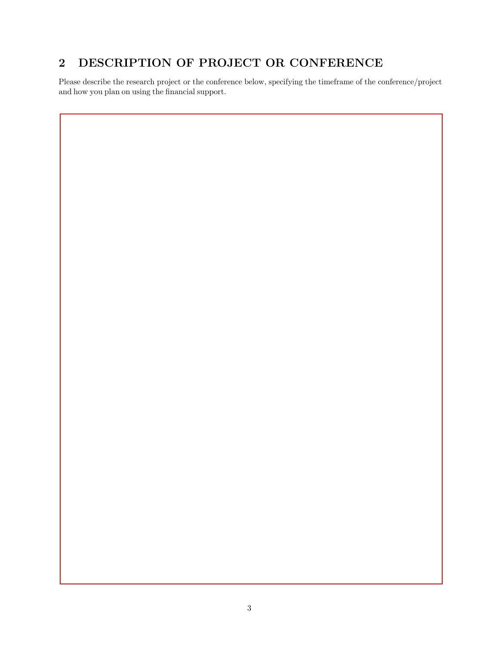## 2 DESCRIPTION OF PROJECT OR CONFERENCE

Please describe the research project or the conference below, specifying the timeframe of the conference/project and how you plan on using the financial support.